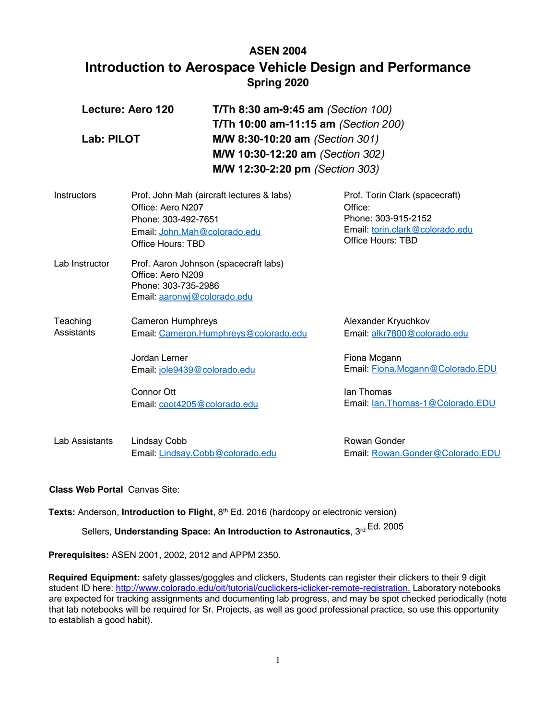# **ASEN 2004 Introduction to Aerospace Vehicle Design and Performance Spring 2020**

| Lecture: Aero 120<br>Lab: PILOT |                                                                         | <b>T/Th 8:30 am-9:45 am (Section 100)</b><br><b>T/Th 10:00 am-11:15 am (Section 200)</b><br>M/W 8:30-10:20 am (Section 301)<br>M/W 10:30-12:20 am (Section 302)<br>M/W 12:30-2:20 pm (Section 303) |                                                     |  |
|---------------------------------|-------------------------------------------------------------------------|----------------------------------------------------------------------------------------------------------------------------------------------------------------------------------------------------|-----------------------------------------------------|--|
|                                 |                                                                         |                                                                                                                                                                                                    |                                                     |  |
| Lab Instructor                  | Office: Aero N209<br>Phone: 303-735-2986<br>Email: aaronwj@colorado.edu | Prof. Aaron Johnson (spacecraft labs)                                                                                                                                                              |                                                     |  |
| Teaching<br><b>Assistants</b>   | <b>Cameron Humphreys</b><br>Email: Cameron.Humphreys@colorado.edu       |                                                                                                                                                                                                    | Alexander Kryuchkov<br>Email: alkr7800@colorado.edu |  |
|                                 | Jordan Lerner<br>Email: jole9439@colorado.edu                           |                                                                                                                                                                                                    | Fiona Mcgann<br>Email: Fiona.Mcgann@Colorado.EDU    |  |
|                                 | Connor Ott                                                              | Email: coot4205@colorado.edu                                                                                                                                                                       | lan Thomas<br>Email: lan. Thomas-1@Colorado. EDU    |  |
| Lab Assistants                  | Lindsay Cobb                                                            | Email: Lindsay.Cobb@colorado.edu                                                                                                                                                                   | Rowan Gonder<br>Email: Rowan.Gonder@Colorado.EDU    |  |

# **Class Web Portal** Canvas Site:

Texts: Anderson, Introduction to Flight, 8<sup>th</sup> Ed. 2016 (hardcopy or electronic version)

Sellers, Understanding Space: An Introduction to Astronautics, 3rd Ed. 2005

**Prerequisites:** ASEN 2001, 2002, 2012 and APPM 2350.

**Required Equipment:** safety glasses/goggles and clickers, Students can register their clickers to their 9 digit student ID here: [http://www.colorado.edu/oit/tutorial/cuclickers-iclicker-remote-registration.](http://www.colorado.edu/oit/tutorial/cuclickers-iclicker-remote-registration) Laboratory notebooks are expected for tracking assignments and documenting lab progress, and may be spot checked periodically (note that lab notebooks will be required for Sr. Projects, as well as good professional practice, so use this opportunity to establish a good habit).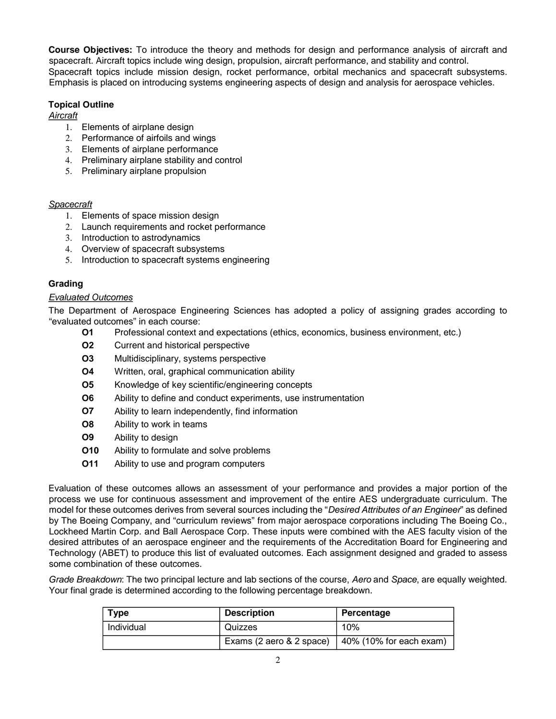**Course Objectives:** To introduce the theory and methods for design and performance analysis of aircraft and spacecraft. Aircraft topics include wing design, propulsion, aircraft performance, and stability and control. Spacecraft topics include mission design, rocket performance, orbital mechanics and spacecraft subsystems. Emphasis is placed on introducing systems engineering aspects of design and analysis for aerospace vehicles.

## **Topical Outline**

*Aircraft*

- 1. Elements of airplane design
- 2. Performance of airfoils and wings
- 3. Elements of airplane performance
- 4. Preliminary airplane stability and control
- 5. Preliminary airplane propulsion

#### *Spacecraft*

- 1. Elements of space mission design
- 2. Launch requirements and rocket performance
- 3. Introduction to astrodynamics
- 4. Overview of spacecraft subsystems
- 5. Introduction to spacecraft systems engineering

## **Grading**

## *Evaluated Outcomes*

The Department of Aerospace Engineering Sciences has adopted a policy of assigning grades according to "evaluated outcomes" in each course:

- **O1** Professional context and expectations (ethics, economics, business environment, etc.)
- **O2** Current and historical perspective
- **O3** Multidisciplinary, systems perspective
- **O4** Written, oral, graphical communication ability
- **O5** Knowledge of key scientific/engineering concepts
- **O6** Ability to define and conduct experiments, use instrumentation
- **O7** Ability to learn independently, find information
- **O8** Ability to work in teams
- **O9** Ability to design
- **O10** Ability to formulate and solve problems
- **O11** Ability to use and program computers

Evaluation of these outcomes allows an assessment of your performance and provides a major portion of the process we use for continuous assessment and improvement of the entire AES undergraduate curriculum. The model for these outcomes derives from several sources including the "*Desired Attributes of an Engineer*" as defined by The Boeing Company, and "curriculum reviews" from major aerospace corporations including The Boeing Co., Lockheed Martin Corp. and Ball Aerospace Corp. These inputs were combined with the AES faculty vision of the desired attributes of an aerospace engineer and the requirements of the Accreditation Board for Engineering and Technology (ABET) to produce this list of evaluated outcomes. Each assignment designed and graded to assess some combination of these outcomes.

*Grade Breakdown*: The two principal lecture and lab sections of the course, *Aero* and *Space*, are equally weighted. Your final grade is determined according to the following percentage breakdown.

| <b>Type</b> | <b>Description</b>       | Percentage              |
|-------------|--------------------------|-------------------------|
| Individual  | Quizzes                  | 10%                     |
|             | Exams (2 aero & 2 space) | 40% (10% for each exam) |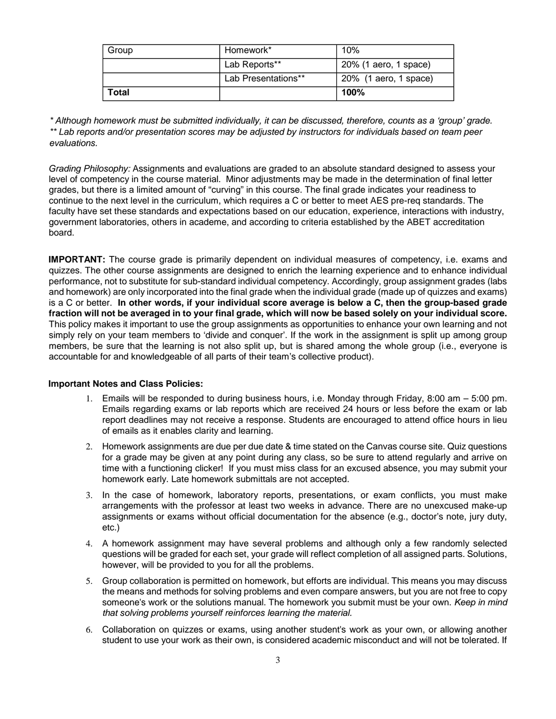| Group | Homework*           | 10%                   |
|-------|---------------------|-----------------------|
|       | Lab Reports**       | 20% (1 aero, 1 space) |
|       | Lab Presentations** | 20% (1 aero, 1 space) |
| Total |                     | 100%                  |

*\* Although homework must be submitted individually, it can be discussed, therefore, counts as a 'group' grade. \*\* Lab reports and/or presentation scores may be adjusted by instructors for individuals based on team peer evaluations.*

*Grading Philosophy:* Assignments and evaluations are graded to an absolute standard designed to assess your level of competency in the course material. Minor adjustments may be made in the determination of final letter grades, but there is a limited amount of "curving" in this course. The final grade indicates your readiness to continue to the next level in the curriculum, which requires a C or better to meet AES pre-req standards. The faculty have set these standards and expectations based on our education, experience, interactions with industry, government laboratories, others in academe, and according to criteria established by the ABET accreditation board.

**IMPORTANT:** The course grade is primarily dependent on individual measures of competency, i.e. exams and quizzes. The other course assignments are designed to enrich the learning experience and to enhance individual performance, not to substitute for sub-standard individual competency. Accordingly, group assignment grades (labs and homework) are only incorporated into the final grade when the individual grade (made up of quizzes and exams) is a C or better. **In other words, if your individual score average is below a C, then the group-based grade fraction will not be averaged in to your final grade, which will now be based solely on your individual score.** This policy makes it important to use the group assignments as opportunities to enhance your own learning and not simply rely on your team members to 'divide and conquer'. If the work in the assignment is split up among group members, be sure that the learning is not also split up, but is shared among the whole group (i.e., everyone is accountable for and knowledgeable of all parts of their team's collective product).

#### **Important Notes and Class Policies:**

- 1. Emails will be responded to during business hours, i.e. Monday through Friday, 8:00 am 5:00 pm. Emails regarding exams or lab reports which are received 24 hours or less before the exam or lab report deadlines may not receive a response. Students are encouraged to attend office hours in lieu of emails as it enables clarity and learning.
- 2. Homework assignments are due per due date & time stated on the Canvas course site. Quiz questions for a grade may be given at any point during any class, so be sure to attend regularly and arrive on time with a functioning clicker! If you must miss class for an excused absence, you may submit your homework early. Late homework submittals are not accepted.
- 3. In the case of homework, laboratory reports, presentations, or exam conflicts, you must make arrangements with the professor at least two weeks in advance. There are no unexcused make-up assignments or exams without official documentation for the absence (e.g., doctor's note, jury duty, etc.)
- 4. A homework assignment may have several problems and although only a few randomly selected questions will be graded for each set, your grade will reflect completion of all assigned parts. Solutions, however, will be provided to you for all the problems.
- 5. Group collaboration is permitted on homework, but efforts are individual. This means you may discuss the means and methods for solving problems and even compare answers, but you are not free to copy someone's work or the solutions manual. The homework you submit must be your own. *Keep in mind that solving problems yourself reinforces learning the material.*
- 6. Collaboration on quizzes or exams, using another student's work as your own, or allowing another student to use your work as their own, is considered academic misconduct and will not be tolerated. If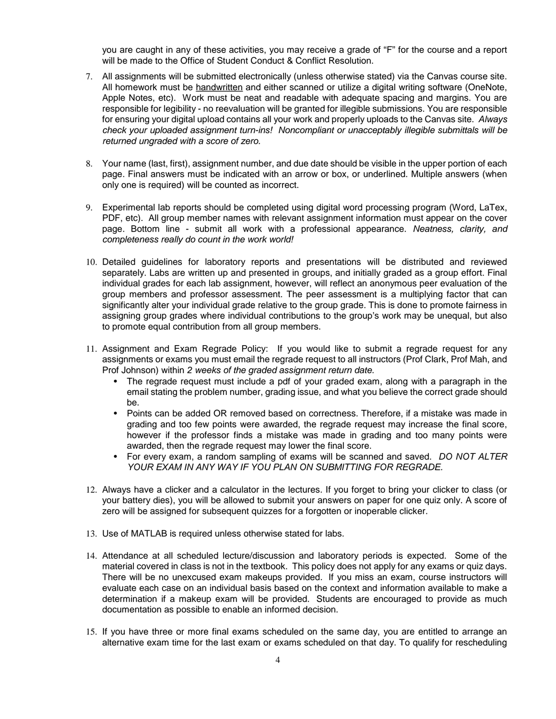you are caught in any of these activities, you may receive a grade of "F" for the course and a report will be made to the Office of Student Conduct & Conflict Resolution.

- 7. All assignments will be submitted electronically (unless otherwise stated) via the Canvas course site. All homework must be handwritten and either scanned or utilize a digital writing software (OneNote, Apple Notes, etc). Work must be neat and readable with adequate spacing and margins. You are responsible for legibility - no reevaluation will be granted for illegible submissions. You are responsible for ensuring your digital upload contains all your work and properly uploads to the Canvas site. *Always check your uploaded assignment turn-ins! Noncompliant or unacceptably illegible submittals will be returned ungraded with a score of zero.*
- 8. Your name (last, first), assignment number, and due date should be visible in the upper portion of each page. Final answers must be indicated with an arrow or box, or underlined. Multiple answers (when only one is required) will be counted as incorrect.
- 9. Experimental lab reports should be completed using digital word processing program (Word, LaTex, PDF, etc). All group member names with relevant assignment information must appear on the cover page. Bottom line - submit all work with a professional appearance. *Neatness, clarity, and completeness really do count in the work world!*
- 10. Detailed guidelines for laboratory reports and presentations will be distributed and reviewed separately. Labs are written up and presented in groups, and initially graded as a group effort. Final individual grades for each lab assignment, however, will reflect an anonymous peer evaluation of the group members and professor assessment. The peer assessment is a multiplying factor that can significantly alter your individual grade relative to the group grade. This is done to promote fairness in assigning group grades where individual contributions to the group's work may be unequal, but also to promote equal contribution from all group members.
- 11. Assignment and Exam Regrade Policy: If you would like to submit a regrade request for any assignments or exams you must email the regrade request to all instructors (Prof Clark, Prof Mah, and Prof Johnson) within *2 weeks of the graded assignment return date*.
	- The regrade request must include a pdf of your graded exam, along with a paragraph in the email stating the problem number, grading issue, and what you believe the correct grade should be.
	- Points can be added OR removed based on correctness. Therefore, if a mistake was made in grading and too few points were awarded, the regrade request may increase the final score, however if the professor finds a mistake was made in grading and too many points were awarded, then the regrade request may lower the final score.
	- For every exam, a random sampling of exams will be scanned and saved. *DO NOT ALTER YOUR EXAM IN ANY WAY IF YOU PLAN ON SUBMITTING FOR REGRADE.*
- 12. Always have a clicker and a calculator in the lectures. If you forget to bring your clicker to class (or your battery dies), you will be allowed to submit your answers on paper for one quiz only. A score of zero will be assigned for subsequent quizzes for a forgotten or inoperable clicker.
- 13. Use of MATLAB is required unless otherwise stated for labs.
- 14. Attendance at all scheduled lecture/discussion and laboratory periods is expected. Some of the material covered in class is not in the textbook. This policy does not apply for any exams or quiz days. There will be no unexcused exam makeups provided. If you miss an exam, course instructors will evaluate each case on an individual basis based on the context and information available to make a determination if a makeup exam will be provided. Students are encouraged to provide as much documentation as possible to enable an informed decision.
- 15. If you have three or more final exams scheduled on the same day, you are entitled to arrange an alternative exam time for the last exam or exams scheduled on that day. To qualify for rescheduling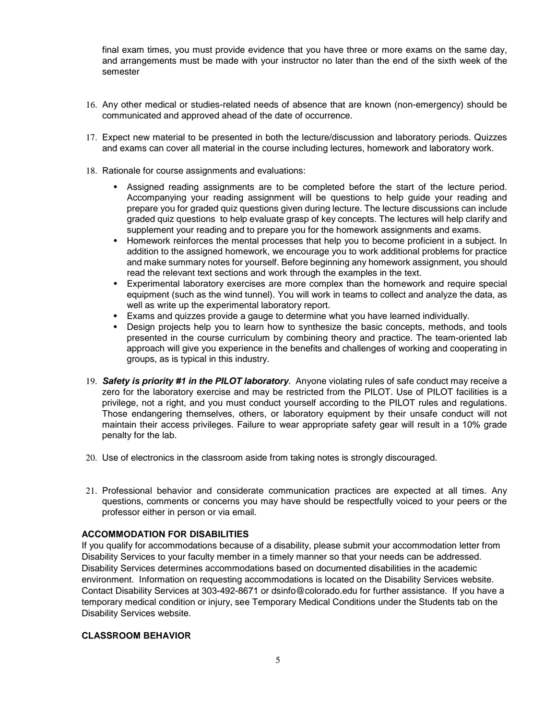final exam times, you must provide evidence that you have three or more exams on the same day, and arrangements must be made with your instructor no later than the end of the sixth week of the semester

- 16. Any other medical or studies-related needs of absence that are known (non-emergency) should be communicated and approved ahead of the date of occurrence.
- 17. Expect new material to be presented in both the lecture/discussion and laboratory periods. Quizzes and exams can cover all material in the course including lectures, homework and laboratory work.
- 18. Rationale for course assignments and evaluations:
	- Assigned reading assignments are to be completed before the start of the lecture period. Accompanying your reading assignment will be questions to help guide your reading and prepare you for graded quiz questions given during lecture. The lecture discussions can include graded quiz questions to help evaluate grasp of key concepts. The lectures will help clarify and supplement your reading and to prepare you for the homework assignments and exams.
	- Homework reinforces the mental processes that help you to become proficient in a subject. In addition to the assigned homework, we encourage you to work additional problems for practice and make summary notes for yourself. Before beginning any homework assignment, you should read the relevant text sections and work through the examples in the text.
	- Experimental laboratory exercises are more complex than the homework and require special equipment (such as the wind tunnel). You will work in teams to collect and analyze the data, as well as write up the experimental laboratory report.
	- Exams and quizzes provide a gauge to determine what you have learned individually.
	- Design projects help you to learn how to synthesize the basic concepts, methods, and tools presented in the course curriculum by combining theory and practice. The team-oriented lab approach will give you experience in the benefits and challenges of working and cooperating in groups, as is typical in this industry.
- 19. *Safety is priority #1 in the PILOT laboratory.* Anyone violating rules of safe conduct may receive a zero for the laboratory exercise and may be restricted from the PILOT. Use of PILOT facilities is a privilege, not a right, and you must conduct yourself according to the PILOT rules and regulations. Those endangering themselves, others, or laboratory equipment by their unsafe conduct will not maintain their access privileges. Failure to wear appropriate safety gear will result in a 10% grade penalty for the lab.
- 20. Use of electronics in the classroom aside from taking notes is strongly discouraged.
- 21. Professional behavior and considerate communication practices are expected at all times. Any questions, comments or concerns you may have should be respectfully voiced to your peers or the professor either in person or via email.

#### **ACCOMMODATION FOR DISABILITIES**

If you qualify for accommodations because of a disability, please submit your accommodation letter from Disability Services to your faculty member in a timely manner so that your needs can be addressed. Disability Services determines accommodations based on documented disabilities in the academic environment. Information on requesting accommodations is located on the Disability Services website. Contact Disability Services at 303-492-8671 or dsinfo@colorado.edu for further assistance. If you have a temporary medical condition or injury, see Temporary Medical Conditions under the Students tab on the Disability Services website.

#### **CLASSROOM BEHAVIOR**